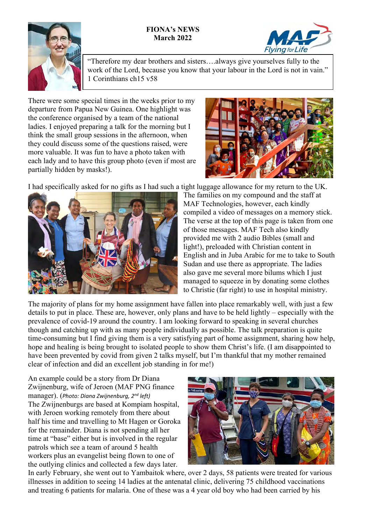## **FIONA's NEWS March 2022**



"Therefore my dear brothers and sisters….always give yourselves fully to the work of the Lord, because you know that your labour in the Lord is not in vain." 1 Corinthians ch15 v58

There were some special times in the weeks prior to my departure from Papua New Guinea. One highlight was the conference organised by a team of the national ladies. I enjoyed preparing a talk for the morning but I think the small group sessions in the afternoon, when they could discuss some of the questions raised, were more valuable. It was fun to have a photo taken with each lady and to have this group photo (even if most are partially hidden by masks!).



**ng** for **Life** 

I had specifically asked for no gifts as I had such a tight luggage allowance for my return to the UK.



The families on my compound and the staff at MAF Technologies, however, each kindly compiled a video of messages on a memory stick. The verse at the top of this page is taken from one of those messages. MAF Tech also kindly provided me with 2 audio Bibles (small and light!), preloaded with Christian content in English and in Juba Arabic for me to take to South Sudan and use there as appropriate. The ladies also gave me several more bilums which I just managed to squeeze in by donating some clothes to Christie (far right) to use in hospital ministry.

The majority of plans for my home assignment have fallen into place remarkably well, with just a few details to put in place. These are, however, only plans and have to be held lightly – especially with the prevalence of covid-19 around the country. I am looking forward to speaking in several churches though and catching up with as many people individually as possible. The talk preparation is quite time-consuming but I find giving them is a very satisfying part of home assignment, sharing how help, hope and healing is being brought to isolated people to show them Christ's life. (I am disappointed to have been prevented by covid from given 2 talks myself, but I'm thankful that my mother remained clear of infection and did an excellent job standing in for me!)

An example could be a story from Dr Diana Zwijnenburg, wife of Jeroen (MAF PNG finance manager). (*Photo: Diana Zwijnenburg, 2nd left)* The Zwijnenburgs are based at Kompiam hospital, with Jeroen working remotely from there about half his time and travelling to Mt Hagen or Goroka for the remainder. Diana is not spending all her time at "base" either but is involved in the regular patrols which see a team of around 5 health workers plus an evangelist being flown to one of the outlying clinics and collected a few days later.



In early February, she went out to Yambaitok where, over 2 days, 58 patients were treated for various illnesses in addition to seeing 14 ladies at the antenatal clinic, delivering 75 childhood vaccinations and treating 6 patients for malaria. One of these was a 4 year old boy who had been carried by his